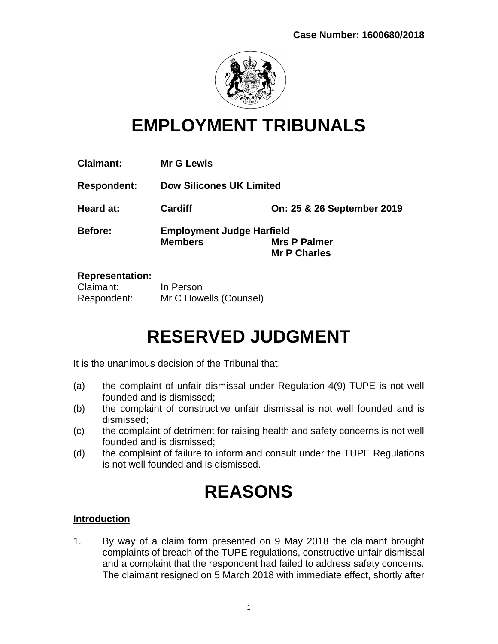

# **EMPLOYMENT TRIBUNALS**

| <b>Claimant:</b>   | <b>Mr G Lewis</b>                |                            |
|--------------------|----------------------------------|----------------------------|
| <b>Respondent:</b> | <b>Dow Silicones UK Limited</b>  |                            |
| Heard at:          | <b>Cardiff</b>                   | On: 25 & 26 September 2019 |
| Before:            | <b>Employment Judge Harfield</b> |                            |
|                    | <b>Members</b>                   | <b>Mrs P Palmer</b>        |
|                    |                                  | <b>Mr P Charles</b>        |

#### **Representation:**

| Claimant:   | In Person              |
|-------------|------------------------|
| Respondent: | Mr C Howells (Counsel) |

# **RESERVED JUDGMENT**

It is the unanimous decision of the Tribunal that:

- (a) the complaint of unfair dismissal under Regulation 4(9) TUPE is not well founded and is dismissed;
- (b) the complaint of constructive unfair dismissal is not well founded and is dismissed;
- (c) the complaint of detriment for raising health and safety concerns is not well founded and is dismissed;
- (d) the complaint of failure to inform and consult under the TUPE Regulations is not well founded and is dismissed.

# **REASONS**

# **Introduction**

1. By way of a claim form presented on 9 May 2018 the claimant brought complaints of breach of the TUPE regulations, constructive unfair dismissal and a complaint that the respondent had failed to address safety concerns. The claimant resigned on 5 March 2018 with immediate effect, shortly after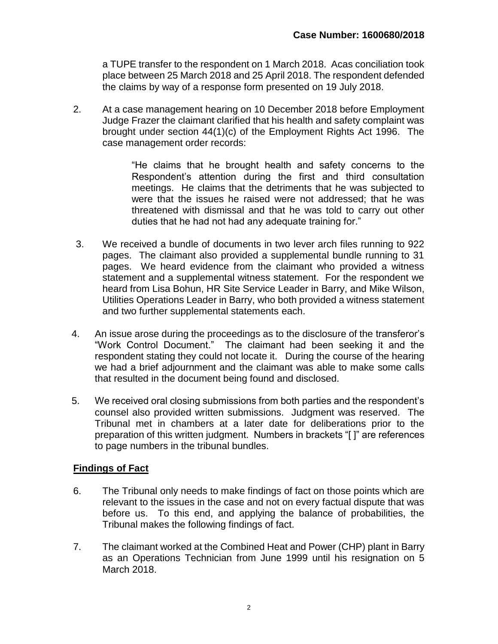a TUPE transfer to the respondent on 1 March 2018. Acas conciliation took place between 25 March 2018 and 25 April 2018. The respondent defended the claims by way of a response form presented on 19 July 2018.

2. At a case management hearing on 10 December 2018 before Employment Judge Frazer the claimant clarified that his health and safety complaint was brought under section 44(1)(c) of the Employment Rights Act 1996. The case management order records:

> "He claims that he brought health and safety concerns to the Respondent's attention during the first and third consultation meetings. He claims that the detriments that he was subjected to were that the issues he raised were not addressed; that he was threatened with dismissal and that he was told to carry out other duties that he had not had any adequate training for."

- 3. We received a bundle of documents in two lever arch files running to 922 pages. The claimant also provided a supplemental bundle running to 31 pages. We heard evidence from the claimant who provided a witness statement and a supplemental witness statement. For the respondent we heard from Lisa Bohun, HR Site Service Leader in Barry, and Mike Wilson, Utilities Operations Leader in Barry, who both provided a witness statement and two further supplemental statements each.
- 4. An issue arose during the proceedings as to the disclosure of the transferor's "Work Control Document." The claimant had been seeking it and the respondent stating they could not locate it. During the course of the hearing we had a brief adjournment and the claimant was able to make some calls that resulted in the document being found and disclosed.
- 5. We received oral closing submissions from both parties and the respondent's counsel also provided written submissions. Judgment was reserved. The Tribunal met in chambers at a later date for deliberations prior to the preparation of this written judgment. Numbers in brackets "[ ]" are references to page numbers in the tribunal bundles.

# **Findings of Fact**

- 6. The Tribunal only needs to make findings of fact on those points which are relevant to the issues in the case and not on every factual dispute that was before us. To this end, and applying the balance of probabilities, the Tribunal makes the following findings of fact.
- 7. The claimant worked at the Combined Heat and Power (CHP) plant in Barry as an Operations Technician from June 1999 until his resignation on 5 March 2018.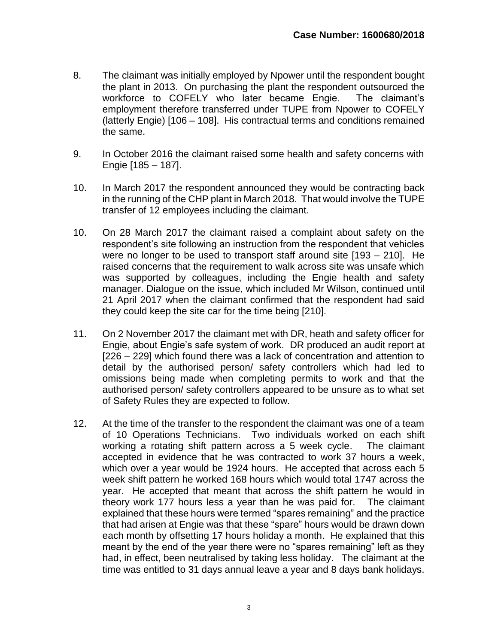- 8. The claimant was initially employed by Npower until the respondent bought the plant in 2013. On purchasing the plant the respondent outsourced the workforce to COFELY who later became Engie. The claimant's employment therefore transferred under TUPE from Npower to COFELY (latterly Engie) [106 – 108]. His contractual terms and conditions remained the same.
- 9. In October 2016 the claimant raised some health and safety concerns with Engie [185 – 187].
- 10. In March 2017 the respondent announced they would be contracting back in the running of the CHP plant in March 2018. That would involve the TUPE transfer of 12 employees including the claimant.
- 10. On 28 March 2017 the claimant raised a complaint about safety on the respondent's site following an instruction from the respondent that vehicles were no longer to be used to transport staff around site [193 – 210]. He raised concerns that the requirement to walk across site was unsafe which was supported by colleagues, including the Engie health and safety manager. Dialogue on the issue, which included Mr Wilson, continued until 21 April 2017 when the claimant confirmed that the respondent had said they could keep the site car for the time being [210].
- 11. On 2 November 2017 the claimant met with DR, heath and safety officer for Engie, about Engie's safe system of work. DR produced an audit report at [226 – 229] which found there was a lack of concentration and attention to detail by the authorised person/ safety controllers which had led to omissions being made when completing permits to work and that the authorised person/ safety controllers appeared to be unsure as to what set of Safety Rules they are expected to follow.
- 12. At the time of the transfer to the respondent the claimant was one of a team of 10 Operations Technicians. Two individuals worked on each shift working a rotating shift pattern across a 5 week cycle. The claimant accepted in evidence that he was contracted to work 37 hours a week, which over a year would be 1924 hours. He accepted that across each 5 week shift pattern he worked 168 hours which would total 1747 across the year. He accepted that meant that across the shift pattern he would in theory work 177 hours less a year than he was paid for. The claimant explained that these hours were termed "spares remaining" and the practice that had arisen at Engie was that these "spare" hours would be drawn down each month by offsetting 17 hours holiday a month. He explained that this meant by the end of the year there were no "spares remaining" left as they had, in effect, been neutralised by taking less holiday. The claimant at the time was entitled to 31 days annual leave a year and 8 days bank holidays.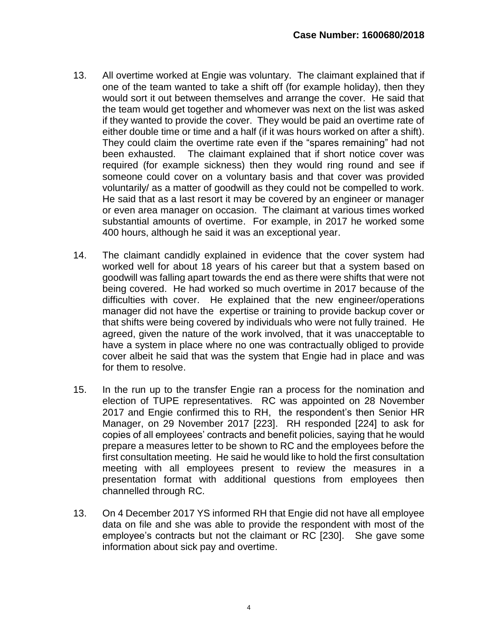- 13. All overtime worked at Engie was voluntary. The claimant explained that if one of the team wanted to take a shift off (for example holiday), then they would sort it out between themselves and arrange the cover. He said that the team would get together and whomever was next on the list was asked if they wanted to provide the cover. They would be paid an overtime rate of either double time or time and a half (if it was hours worked on after a shift). They could claim the overtime rate even if the "spares remaining" had not been exhausted. The claimant explained that if short notice cover was required (for example sickness) then they would ring round and see if someone could cover on a voluntary basis and that cover was provided voluntarily/ as a matter of goodwill as they could not be compelled to work. He said that as a last resort it may be covered by an engineer or manager or even area manager on occasion. The claimant at various times worked substantial amounts of overtime. For example, in 2017 he worked some 400 hours, although he said it was an exceptional year.
- 14. The claimant candidly explained in evidence that the cover system had worked well for about 18 years of his career but that a system based on goodwill was falling apart towards the end as there were shifts that were not being covered. He had worked so much overtime in 2017 because of the difficulties with cover. He explained that the new engineer/operations manager did not have the expertise or training to provide backup cover or that shifts were being covered by individuals who were not fully trained. He agreed, given the nature of the work involved, that it was unacceptable to have a system in place where no one was contractually obliged to provide cover albeit he said that was the system that Engie had in place and was for them to resolve.
- 15. In the run up to the transfer Engie ran a process for the nomination and election of TUPE representatives. RC was appointed on 28 November 2017 and Engie confirmed this to RH, the respondent's then Senior HR Manager, on 29 November 2017 [223]. RH responded [224] to ask for copies of all employees' contracts and benefit policies, saying that he would prepare a measures letter to be shown to RC and the employees before the first consultation meeting. He said he would like to hold the first consultation meeting with all employees present to review the measures in a presentation format with additional questions from employees then channelled through RC.
- 13. On 4 December 2017 YS informed RH that Engie did not have all employee data on file and she was able to provide the respondent with most of the employee's contracts but not the claimant or RC [230]. She gave some information about sick pay and overtime.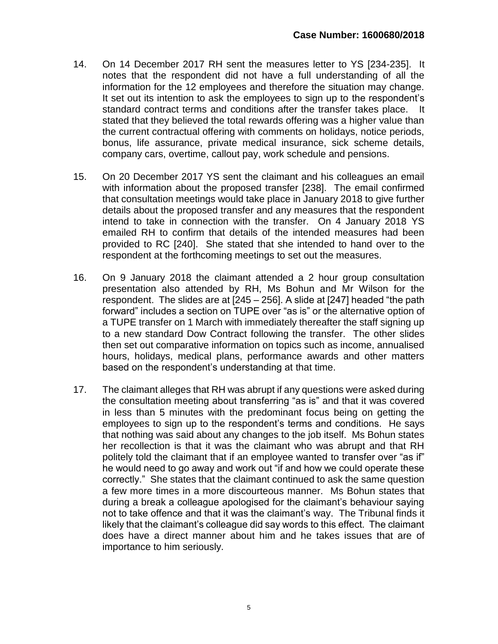- 14. On 14 December 2017 RH sent the measures letter to YS [234-235]. It notes that the respondent did not have a full understanding of all the information for the 12 employees and therefore the situation may change. It set out its intention to ask the employees to sign up to the respondent's standard contract terms and conditions after the transfer takes place. It stated that they believed the total rewards offering was a higher value than the current contractual offering with comments on holidays, notice periods, bonus, life assurance, private medical insurance, sick scheme details, company cars, overtime, callout pay, work schedule and pensions.
- 15. On 20 December 2017 YS sent the claimant and his colleagues an email with information about the proposed transfer [238]. The email confirmed that consultation meetings would take place in January 2018 to give further details about the proposed transfer and any measures that the respondent intend to take in connection with the transfer. On 4 January 2018 YS emailed RH to confirm that details of the intended measures had been provided to RC [240]. She stated that she intended to hand over to the respondent at the forthcoming meetings to set out the measures.
- 16. On 9 January 2018 the claimant attended a 2 hour group consultation presentation also attended by RH, Ms Bohun and Mr Wilson for the respondent. The slides are at [245 – 256]. A slide at [247] headed "the path forward" includes a section on TUPE over "as is" or the alternative option of a TUPE transfer on 1 March with immediately thereafter the staff signing up to a new standard Dow Contract following the transfer. The other slides then set out comparative information on topics such as income, annualised hours, holidays, medical plans, performance awards and other matters based on the respondent's understanding at that time.
- 17. The claimant alleges that RH was abrupt if any questions were asked during the consultation meeting about transferring "as is" and that it was covered in less than 5 minutes with the predominant focus being on getting the employees to sign up to the respondent's terms and conditions. He says that nothing was said about any changes to the job itself. Ms Bohun states her recollection is that it was the claimant who was abrupt and that RH politely told the claimant that if an employee wanted to transfer over "as if" he would need to go away and work out "if and how we could operate these correctly." She states that the claimant continued to ask the same question a few more times in a more discourteous manner. Ms Bohun states that during a break a colleague apologised for the claimant's behaviour saying not to take offence and that it was the claimant's way. The Tribunal finds it likely that the claimant's colleague did say words to this effect. The claimant does have a direct manner about him and he takes issues that are of importance to him seriously.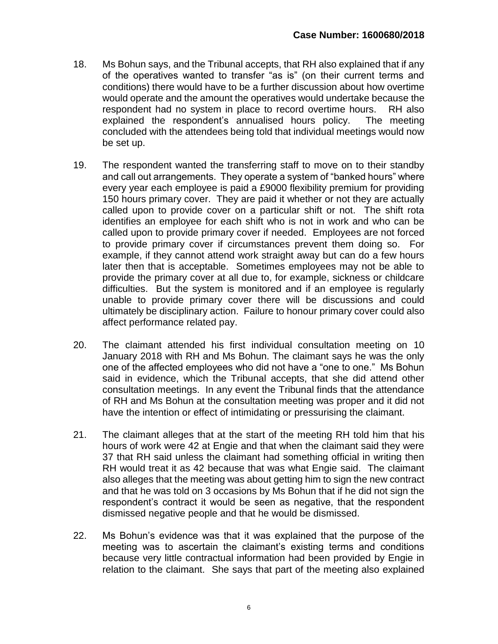- 18. Ms Bohun says, and the Tribunal accepts, that RH also explained that if any of the operatives wanted to transfer "as is" (on their current terms and conditions) there would have to be a further discussion about how overtime would operate and the amount the operatives would undertake because the respondent had no system in place to record overtime hours. RH also explained the respondent's annualised hours policy. The meeting concluded with the attendees being told that individual meetings would now be set up.
- 19. The respondent wanted the transferring staff to move on to their standby and call out arrangements. They operate a system of "banked hours" where every year each employee is paid a £9000 flexibility premium for providing 150 hours primary cover. They are paid it whether or not they are actually called upon to provide cover on a particular shift or not. The shift rota identifies an employee for each shift who is not in work and who can be called upon to provide primary cover if needed. Employees are not forced to provide primary cover if circumstances prevent them doing so. For example, if they cannot attend work straight away but can do a few hours later then that is acceptable. Sometimes employees may not be able to provide the primary cover at all due to, for example, sickness or childcare difficulties. But the system is monitored and if an employee is regularly unable to provide primary cover there will be discussions and could ultimately be disciplinary action. Failure to honour primary cover could also affect performance related pay.
- 20. The claimant attended his first individual consultation meeting on 10 January 2018 with RH and Ms Bohun. The claimant says he was the only one of the affected employees who did not have a "one to one." Ms Bohun said in evidence, which the Tribunal accepts, that she did attend other consultation meetings. In any event the Tribunal finds that the attendance of RH and Ms Bohun at the consultation meeting was proper and it did not have the intention or effect of intimidating or pressurising the claimant.
- 21. The claimant alleges that at the start of the meeting RH told him that his hours of work were 42 at Engie and that when the claimant said they were 37 that RH said unless the claimant had something official in writing then RH would treat it as 42 because that was what Engie said. The claimant also alleges that the meeting was about getting him to sign the new contract and that he was told on 3 occasions by Ms Bohun that if he did not sign the respondent's contract it would be seen as negative, that the respondent dismissed negative people and that he would be dismissed.
- 22. Ms Bohun's evidence was that it was explained that the purpose of the meeting was to ascertain the claimant's existing terms and conditions because very little contractual information had been provided by Engie in relation to the claimant. She says that part of the meeting also explained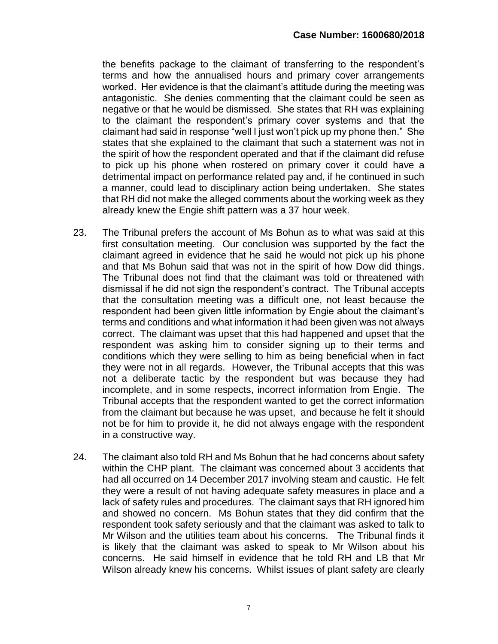the benefits package to the claimant of transferring to the respondent's terms and how the annualised hours and primary cover arrangements worked. Her evidence is that the claimant's attitude during the meeting was antagonistic. She denies commenting that the claimant could be seen as negative or that he would be dismissed. She states that RH was explaining to the claimant the respondent's primary cover systems and that the claimant had said in response "well I just won't pick up my phone then." She states that she explained to the claimant that such a statement was not in the spirit of how the respondent operated and that if the claimant did refuse to pick up his phone when rostered on primary cover it could have a detrimental impact on performance related pay and, if he continued in such a manner, could lead to disciplinary action being undertaken. She states that RH did not make the alleged comments about the working week as they already knew the Engie shift pattern was a 37 hour week.

- 23. The Tribunal prefers the account of Ms Bohun as to what was said at this first consultation meeting. Our conclusion was supported by the fact the claimant agreed in evidence that he said he would not pick up his phone and that Ms Bohun said that was not in the spirit of how Dow did things. The Tribunal does not find that the claimant was told or threatened with dismissal if he did not sign the respondent's contract. The Tribunal accepts that the consultation meeting was a difficult one, not least because the respondent had been given little information by Engie about the claimant's terms and conditions and what information it had been given was not always correct. The claimant was upset that this had happened and upset that the respondent was asking him to consider signing up to their terms and conditions which they were selling to him as being beneficial when in fact they were not in all regards. However, the Tribunal accepts that this was not a deliberate tactic by the respondent but was because they had incomplete, and in some respects, incorrect information from Engie. The Tribunal accepts that the respondent wanted to get the correct information from the claimant but because he was upset, and because he felt it should not be for him to provide it, he did not always engage with the respondent in a constructive way.
- 24. The claimant also told RH and Ms Bohun that he had concerns about safety within the CHP plant. The claimant was concerned about 3 accidents that had all occurred on 14 December 2017 involving steam and caustic. He felt they were a result of not having adequate safety measures in place and a lack of safety rules and procedures. The claimant says that RH ignored him and showed no concern. Ms Bohun states that they did confirm that the respondent took safety seriously and that the claimant was asked to talk to Mr Wilson and the utilities team about his concerns. The Tribunal finds it is likely that the claimant was asked to speak to Mr Wilson about his concerns. He said himself in evidence that he told RH and LB that Mr Wilson already knew his concerns. Whilst issues of plant safety are clearly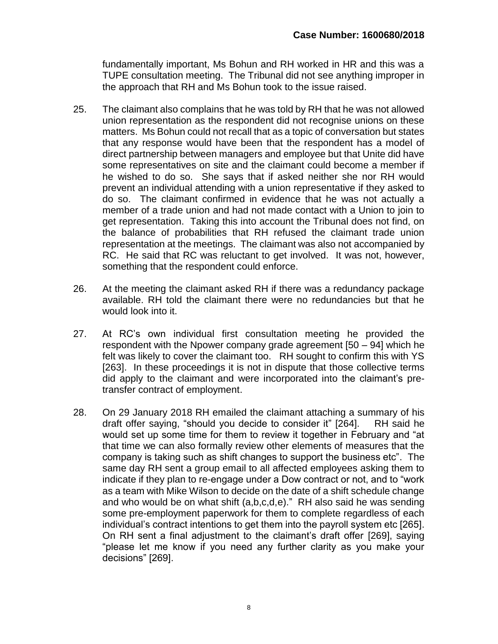fundamentally important, Ms Bohun and RH worked in HR and this was a TUPE consultation meeting. The Tribunal did not see anything improper in the approach that RH and Ms Bohun took to the issue raised.

- 25. The claimant also complains that he was told by RH that he was not allowed union representation as the respondent did not recognise unions on these matters. Ms Bohun could not recall that as a topic of conversation but states that any response would have been that the respondent has a model of direct partnership between managers and employee but that Unite did have some representatives on site and the claimant could become a member if he wished to do so. She says that if asked neither she nor RH would prevent an individual attending with a union representative if they asked to do so. The claimant confirmed in evidence that he was not actually a member of a trade union and had not made contact with a Union to join to get representation. Taking this into account the Tribunal does not find, on the balance of probabilities that RH refused the claimant trade union representation at the meetings. The claimant was also not accompanied by RC. He said that RC was reluctant to get involved. It was not, however, something that the respondent could enforce.
- 26. At the meeting the claimant asked RH if there was a redundancy package available. RH told the claimant there were no redundancies but that he would look into it.
- 27. At RC's own individual first consultation meeting he provided the respondent with the Npower company grade agreement [50 – 94] which he felt was likely to cover the claimant too. RH sought to confirm this with YS [263]. In these proceedings it is not in dispute that those collective terms did apply to the claimant and were incorporated into the claimant's pretransfer contract of employment.
- 28. On 29 January 2018 RH emailed the claimant attaching a summary of his draft offer saying, "should you decide to consider it" [264]. RH said he would set up some time for them to review it together in February and "at that time we can also formally review other elements of measures that the company is taking such as shift changes to support the business etc". The same day RH sent a group email to all affected employees asking them to indicate if they plan to re-engage under a Dow contract or not, and to "work as a team with Mike Wilson to decide on the date of a shift schedule change and who would be on what shift (a,b,c,d,e)." RH also said he was sending some pre-employment paperwork for them to complete regardless of each individual's contract intentions to get them into the payroll system etc [265]. On RH sent a final adjustment to the claimant's draft offer [269], saying "please let me know if you need any further clarity as you make your decisions" [269].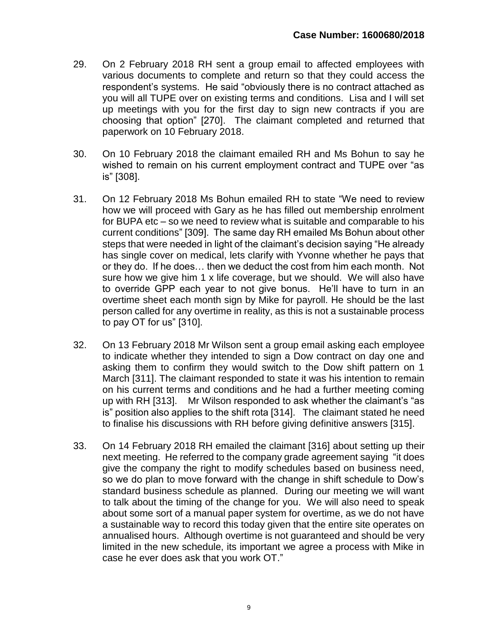- 29. On 2 February 2018 RH sent a group email to affected employees with various documents to complete and return so that they could access the respondent's systems. He said "obviously there is no contract attached as you will all TUPE over on existing terms and conditions. Lisa and I will set up meetings with you for the first day to sign new contracts if you are choosing that option" [270]. The claimant completed and returned that paperwork on 10 February 2018.
- 30. On 10 February 2018 the claimant emailed RH and Ms Bohun to say he wished to remain on his current employment contract and TUPE over "as is" [308].
- 31. On 12 February 2018 Ms Bohun emailed RH to state "We need to review how we will proceed with Gary as he has filled out membership enrolment for BUPA etc – so we need to review what is suitable and comparable to his current conditions" [309]. The same day RH emailed Ms Bohun about other steps that were needed in light of the claimant's decision saying "He already has single cover on medical, lets clarify with Yvonne whether he pays that or they do. If he does… then we deduct the cost from him each month. Not sure how we give him 1 x life coverage, but we should. We will also have to override GPP each year to not give bonus. He'll have to turn in an overtime sheet each month sign by Mike for payroll. He should be the last person called for any overtime in reality, as this is not a sustainable process to pay OT for us" [310].
- 32. On 13 February 2018 Mr Wilson sent a group email asking each employee to indicate whether they intended to sign a Dow contract on day one and asking them to confirm they would switch to the Dow shift pattern on 1 March [311]. The claimant responded to state it was his intention to remain on his current terms and conditions and he had a further meeting coming up with RH [313]. Mr Wilson responded to ask whether the claimant's "as is" position also applies to the shift rota [314]. The claimant stated he need to finalise his discussions with RH before giving definitive answers [315].
- 33. On 14 February 2018 RH emailed the claimant [316] about setting up their next meeting. He referred to the company grade agreement saying "it does give the company the right to modify schedules based on business need, so we do plan to move forward with the change in shift schedule to Dow's standard business schedule as planned. During our meeting we will want to talk about the timing of the change for you. We will also need to speak about some sort of a manual paper system for overtime, as we do not have a sustainable way to record this today given that the entire site operates on annualised hours. Although overtime is not guaranteed and should be very limited in the new schedule, its important we agree a process with Mike in case he ever does ask that you work OT."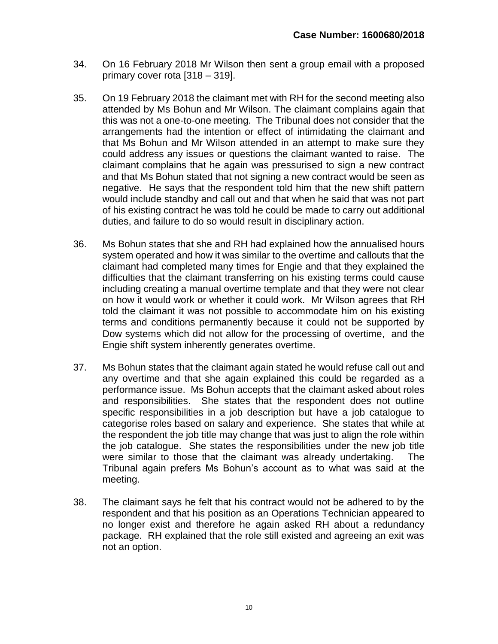- 34. On 16 February 2018 Mr Wilson then sent a group email with a proposed primary cover rota [318 – 319].
- 35. On 19 February 2018 the claimant met with RH for the second meeting also attended by Ms Bohun and Mr Wilson. The claimant complains again that this was not a one-to-one meeting. The Tribunal does not consider that the arrangements had the intention or effect of intimidating the claimant and that Ms Bohun and Mr Wilson attended in an attempt to make sure they could address any issues or questions the claimant wanted to raise. The claimant complains that he again was pressurised to sign a new contract and that Ms Bohun stated that not signing a new contract would be seen as negative. He says that the respondent told him that the new shift pattern would include standby and call out and that when he said that was not part of his existing contract he was told he could be made to carry out additional duties, and failure to do so would result in disciplinary action.
- 36. Ms Bohun states that she and RH had explained how the annualised hours system operated and how it was similar to the overtime and callouts that the claimant had completed many times for Engie and that they explained the difficulties that the claimant transferring on his existing terms could cause including creating a manual overtime template and that they were not clear on how it would work or whether it could work. Mr Wilson agrees that RH told the claimant it was not possible to accommodate him on his existing terms and conditions permanently because it could not be supported by Dow systems which did not allow for the processing of overtime, and the Engie shift system inherently generates overtime.
- 37. Ms Bohun states that the claimant again stated he would refuse call out and any overtime and that she again explained this could be regarded as a performance issue. Ms Bohun accepts that the claimant asked about roles and responsibilities. She states that the respondent does not outline specific responsibilities in a job description but have a job catalogue to categorise roles based on salary and experience. She states that while at the respondent the job title may change that was just to align the role within the job catalogue. She states the responsibilities under the new job title were similar to those that the claimant was already undertaking. The Tribunal again prefers Ms Bohun's account as to what was said at the meeting.
- 38. The claimant says he felt that his contract would not be adhered to by the respondent and that his position as an Operations Technician appeared to no longer exist and therefore he again asked RH about a redundancy package. RH explained that the role still existed and agreeing an exit was not an option.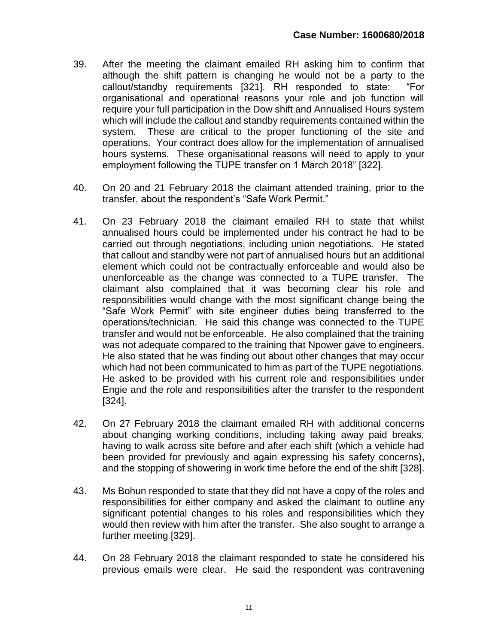- 39. After the meeting the claimant emailed RH asking him to confirm that although the shift pattern is changing he would not be a party to the callout/standby requirements [321]. RH responded to state: "For organisational and operational reasons your role and job function will require your full participation in the Dow shift and Annualised Hours system which will include the callout and standby requirements contained within the system. These are critical to the proper functioning of the site and operations. Your contract does allow for the implementation of annualised hours systems. These organisational reasons will need to apply to your employment following the TUPE transfer on 1 March 2018" [322].
- 40. On 20 and 21 February 2018 the claimant attended training, prior to the transfer, about the respondent's "Safe Work Permit."
- 41. On 23 February 2018 the claimant emailed RH to state that whilst annualised hours could be implemented under his contract he had to be carried out through negotiations, including union negotiations. He stated that callout and standby were not part of annualised hours but an additional element which could not be contractually enforceable and would also be unenforceable as the change was connected to a TUPE transfer. The claimant also complained that it was becoming clear his role and responsibilities would change with the most significant change being the "Safe Work Permit" with site engineer duties being transferred to the operations/technician. He said this change was connected to the TUPE transfer and would not be enforceable. He also complained that the training was not adequate compared to the training that Npower gave to engineers. He also stated that he was finding out about other changes that may occur which had not been communicated to him as part of the TUPE negotiations. He asked to be provided with his current role and responsibilities under Engie and the role and responsibilities after the transfer to the respondent [324].
- 42. On 27 February 2018 the claimant emailed RH with additional concerns about changing working conditions, including taking away paid breaks, having to walk across site before and after each shift (which a vehicle had been provided for previously and again expressing his safety concerns), and the stopping of showering in work time before the end of the shift [328].
- 43. Ms Bohun responded to state that they did not have a copy of the roles and responsibilities for either company and asked the claimant to outline any significant potential changes to his roles and responsibilities which they would then review with him after the transfer. She also sought to arrange a further meeting [329].
- 44. On 28 February 2018 the claimant responded to state he considered his previous emails were clear. He said the respondent was contravening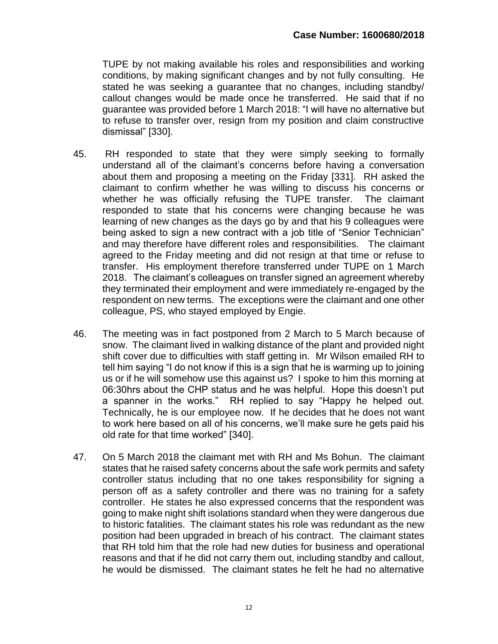TUPE by not making available his roles and responsibilities and working conditions, by making significant changes and by not fully consulting. He stated he was seeking a guarantee that no changes, including standby/ callout changes would be made once he transferred. He said that if no guarantee was provided before 1 March 2018: "I will have no alternative but to refuse to transfer over, resign from my position and claim constructive dismissal" [330].

- 45. RH responded to state that they were simply seeking to formally understand all of the claimant's concerns before having a conversation about them and proposing a meeting on the Friday [331]. RH asked the claimant to confirm whether he was willing to discuss his concerns or whether he was officially refusing the TUPE transfer. The claimant responded to state that his concerns were changing because he was learning of new changes as the days go by and that his 9 colleagues were being asked to sign a new contract with a job title of "Senior Technician" and may therefore have different roles and responsibilities. The claimant agreed to the Friday meeting and did not resign at that time or refuse to transfer. His employment therefore transferred under TUPE on 1 March 2018. The claimant's colleagues on transfer signed an agreement whereby they terminated their employment and were immediately re-engaged by the respondent on new terms. The exceptions were the claimant and one other colleague, PS, who stayed employed by Engie.
- 46. The meeting was in fact postponed from 2 March to 5 March because of snow. The claimant lived in walking distance of the plant and provided night shift cover due to difficulties with staff getting in. Mr Wilson emailed RH to tell him saying "I do not know if this is a sign that he is warming up to joining us or if he will somehow use this against us? I spoke to him this morning at 06:30hrs about the CHP status and he was helpful. Hope this doesn't put a spanner in the works." RH replied to say "Happy he helped out. Technically, he is our employee now. If he decides that he does not want to work here based on all of his concerns, we'll make sure he gets paid his old rate for that time worked" [340].
- 47. On 5 March 2018 the claimant met with RH and Ms Bohun. The claimant states that he raised safety concerns about the safe work permits and safety controller status including that no one takes responsibility for signing a person off as a safety controller and there was no training for a safety controller. He states he also expressed concerns that the respondent was going to make night shift isolations standard when they were dangerous due to historic fatalities. The claimant states his role was redundant as the new position had been upgraded in breach of his contract. The claimant states that RH told him that the role had new duties for business and operational reasons and that if he did not carry them out, including standby and callout, he would be dismissed. The claimant states he felt he had no alternative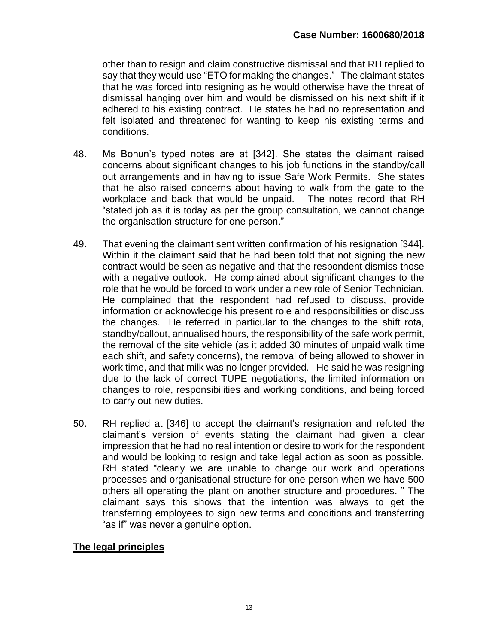other than to resign and claim constructive dismissal and that RH replied to say that they would use "ETO for making the changes." The claimant states that he was forced into resigning as he would otherwise have the threat of dismissal hanging over him and would be dismissed on his next shift if it adhered to his existing contract. He states he had no representation and felt isolated and threatened for wanting to keep his existing terms and conditions.

- 48. Ms Bohun's typed notes are at [342]. She states the claimant raised concerns about significant changes to his job functions in the standby/call out arrangements and in having to issue Safe Work Permits. She states that he also raised concerns about having to walk from the gate to the workplace and back that would be unpaid. The notes record that RH "stated job as it is today as per the group consultation, we cannot change the organisation structure for one person."
- 49. That evening the claimant sent written confirmation of his resignation [344]. Within it the claimant said that he had been told that not signing the new contract would be seen as negative and that the respondent dismiss those with a negative outlook. He complained about significant changes to the role that he would be forced to work under a new role of Senior Technician. He complained that the respondent had refused to discuss, provide information or acknowledge his present role and responsibilities or discuss the changes. He referred in particular to the changes to the shift rota, standby/callout, annualised hours, the responsibility of the safe work permit, the removal of the site vehicle (as it added 30 minutes of unpaid walk time each shift, and safety concerns), the removal of being allowed to shower in work time, and that milk was no longer provided. He said he was resigning due to the lack of correct TUPE negotiations, the limited information on changes to role, responsibilities and working conditions, and being forced to carry out new duties.
- 50. RH replied at [346] to accept the claimant's resignation and refuted the claimant's version of events stating the claimant had given a clear impression that he had no real intention or desire to work for the respondent and would be looking to resign and take legal action as soon as possible. RH stated "clearly we are unable to change our work and operations processes and organisational structure for one person when we have 500 others all operating the plant on another structure and procedures. " The claimant says this shows that the intention was always to get the transferring employees to sign new terms and conditions and transferring "as if" was never a genuine option.

# **The legal principles**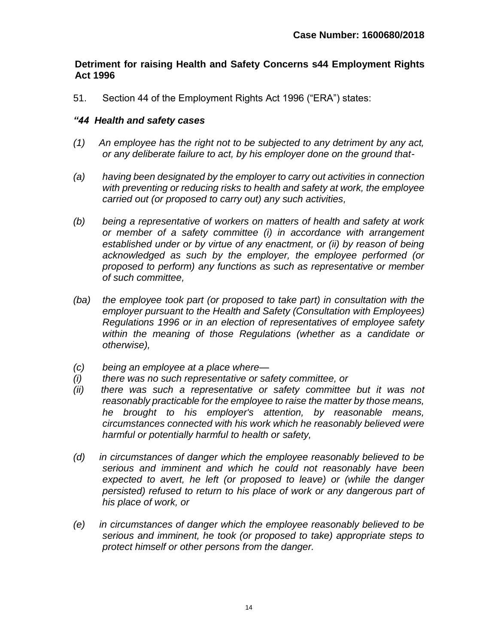## **Detriment for raising Health and Safety Concerns s44 Employment Rights Act 1996**

51. Section 44 of the Employment Rights Act 1996 ("ERA") states:

## *"44 Health and safety cases*

- *(1) An employee has the right not to be subjected to any detriment by any act, or any deliberate failure to act, by his employer done on the ground that-*
- *(a) having been designated by the employer to carry out activities in connection with preventing or reducing risks to health and safety at work, the employee carried out (or proposed to carry out) any such activities,*
- *(b) being a representative of workers on matters of health and safety at work or member of a safety committee (i) in accordance with arrangement established under or by virtue of any enactment, or (ii) by reason of being acknowledged as such by the employer, the employee performed (or proposed to perform) any functions as such as representative or member of such committee,*
- *(ba) the employee took part (or proposed to take part) in consultation with the employer pursuant to the Health and Safety (Consultation with Employees) Regulations 1996 or in an election of representatives of employee safety within the meaning of those Regulations (whether as a candidate or otherwise),*
- *(c) being an employee at a place where—*
- *(i) there was no such representative or safety committee, or*
- *(ii) there was such a representative or safety committee but it was not reasonably practicable for the employee to raise the matter by those means, he brought to his employer's attention, by reasonable means, circumstances connected with his work which he reasonably believed were harmful or potentially harmful to health or safety,*
- *(d) in circumstances of danger which the employee reasonably believed to be serious and imminent and which he could not reasonably have been expected to avert, he left (or proposed to leave) or (while the danger persisted) refused to return to his place of work or any dangerous part of his place of work, or*
- *(e) in circumstances of danger which the employee reasonably believed to be serious and imminent, he took (or proposed to take) appropriate steps to protect himself or other persons from the danger.*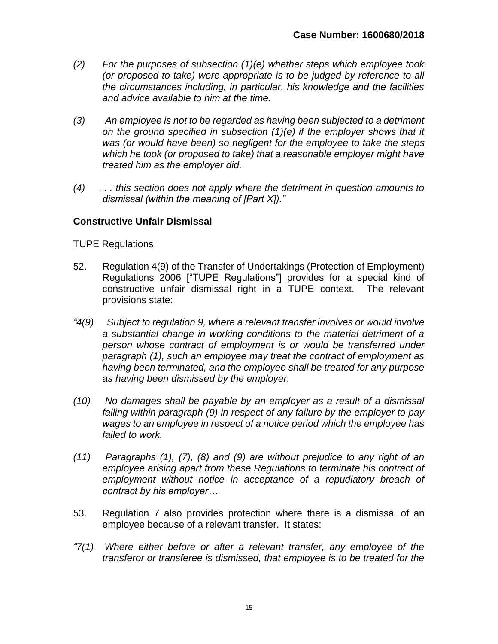- *(2) For the purposes of subsection (1)(e) whether steps which employee took (or proposed to take) were appropriate is to be judged by reference to all the circumstances including, in particular, his knowledge and the facilities and advice available to him at the time.*
- *(3) An employee is not to be regarded as having been subjected to a detriment on the ground specified in subsection (1)(e) if the employer shows that it was (or would have been) so negligent for the employee to take the steps which he took (or proposed to take) that a reasonable employer might have treated him as the employer did.*
- *(4) . . . this section does not apply where the detriment in question amounts to dismissal (within the meaning of [Part X])."*

## **Constructive Unfair Dismissal**

### TUPE Regulations

- 52. Regulation 4(9) of the Transfer of Undertakings (Protection of Employment) Regulations 2006 ["TUPE Regulations"] provides for a special kind of constructive unfair dismissal right in a TUPE context. The relevant provisions state:
- *"4(9) Subject to regulation 9, where a relevant transfer involves or would involve a substantial change in working conditions to the material detriment of a person whose contract of employment is or would be transferred under paragraph (1), such an employee may treat the contract of employment as having been terminated, and the employee shall be treated for any purpose as having been dismissed by the employer.*
- *(10) No damages shall be payable by an employer as a result of a dismissal falling within paragraph (9) in respect of any failure by the employer to pay wages to an employee in respect of a notice period which the employee has failed to work.*
- *(11) Paragraphs (1), (7), (8) and (9) are without prejudice to any right of an employee arising apart from these Regulations to terminate his contract of employment without notice in acceptance of a repudiatory breach of contract by his employer…*
- 53. Regulation 7 also provides protection where there is a dismissal of an employee because of a relevant transfer. It states:
- *"7(1) Where either before or after a relevant transfer, any employee of the transferor or transferee is dismissed, that employee is to be treated for the*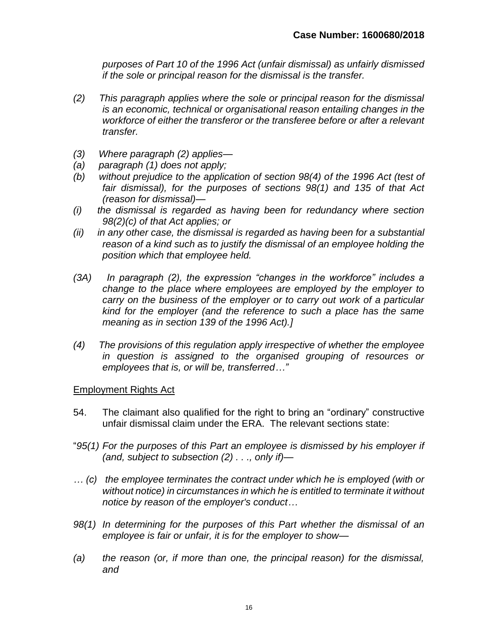*purposes of Part 10 of the 1996 Act (unfair dismissal) as unfairly dismissed if the sole or principal reason for the dismissal is the transfer.*

- *(2) This paragraph applies where the sole or principal reason for the dismissal is an economic, technical or organisational reason entailing changes in the workforce of either the transferor or the transferee before or after a relevant transfer.*
- *(3) Where paragraph (2) applies—*
- *(a) paragraph (1) does not apply;*
- *(b) without prejudice to the application of section 98(4) of the 1996 Act (test of fair dismissal), for the purposes of sections 98(1) and 135 of that Act (reason for dismissal)—*
- *(i) the dismissal is regarded as having been for redundancy where section 98(2)(c) of that Act applies; or*
- *(ii) in any other case, the dismissal is regarded as having been for a substantial reason of a kind such as to justify the dismissal of an employee holding the position which that employee held.*
- *(3A) In paragraph (2), the expression "changes in the workforce" includes a change to the place where employees are employed by the employer to carry on the business of the employer or to carry out work of a particular kind for the employer (and the reference to such a place has the same meaning as in section 139 of the 1996 Act).]*
- *(4) The provisions of this regulation apply irrespective of whether the employee in question is assigned to the organised grouping of resources or employees that is, or will be, transferred…"*

#### Employment Rights Act

- 54. The claimant also qualified for the right to bring an "ordinary" constructive unfair dismissal claim under the ERA. The relevant sections state:
- "*95(1) For the purposes of this Part an employee is dismissed by his employer if (and, subject to subsection (2) . . ., only if)—*
- *… (c) the employee terminates the contract under which he is employed (with or without notice) in circumstances in which he is entitled to terminate it without notice by reason of the employer's conduct…*
- *98(1) In determining for the purposes of this Part whether the dismissal of an employee is fair or unfair, it is for the employer to show—*
- *(a) the reason (or, if more than one, the principal reason) for the dismissal, and*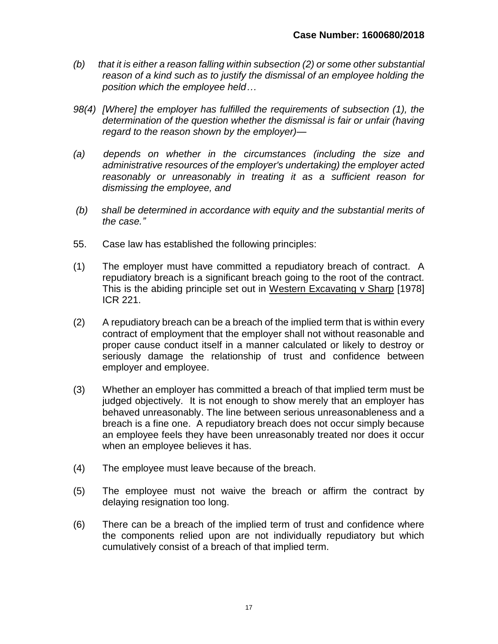- *(b) that it is either a reason falling within subsection (2) or some other substantial reason of a kind such as to justify the dismissal of an employee holding the position which the employee held…*
- *98(4) [Where] the employer has fulfilled the requirements of subsection (1), the determination of the question whether the dismissal is fair or unfair (having regard to the reason shown by the employer)—*
- *(a) depends on whether in the circumstances (including the size and administrative resources of the employer's undertaking) the employer acted reasonably or unreasonably in treating it as a sufficient reason for dismissing the employee, and*
- *(b) shall be determined in accordance with equity and the substantial merits of the case."*
- 55. Case law has established the following principles:
- (1) The employer must have committed a repudiatory breach of contract. A repudiatory breach is a significant breach going to the root of the contract. This is the abiding principle set out in Western Excavating v Sharp [1978] ICR 221.
- (2) A repudiatory breach can be a breach of the implied term that is within every contract of employment that the employer shall not without reasonable and proper cause conduct itself in a manner calculated or likely to destroy or seriously damage the relationship of trust and confidence between employer and employee.
- (3) Whether an employer has committed a breach of that implied term must be judged objectively. It is not enough to show merely that an employer has behaved unreasonably. The line between serious unreasonableness and a breach is a fine one. A repudiatory breach does not occur simply because an employee feels they have been unreasonably treated nor does it occur when an employee believes it has.
- (4) The employee must leave because of the breach.
- (5) The employee must not waive the breach or affirm the contract by delaying resignation too long.
- (6) There can be a breach of the implied term of trust and confidence where the components relied upon are not individually repudiatory but which cumulatively consist of a breach of that implied term.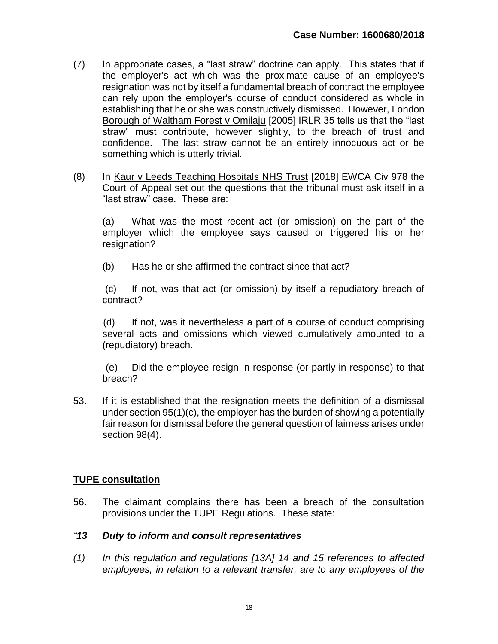- (7) In appropriate cases, a "last straw" doctrine can apply. This states that if the employer's act which was the proximate cause of an employee's resignation was not by itself a fundamental breach of contract the employee can rely upon the employer's course of conduct considered as whole in establishing that he or she was constructively dismissed. However, London Borough of Waltham Forest v Omilaju [2005] IRLR 35 tells us that the "last straw" must contribute, however slightly, to the breach of trust and confidence. The last straw cannot be an entirely innocuous act or be something which is utterly trivial.
- (8) In Kaur v Leeds Teaching Hospitals NHS Trust [2018] EWCA Civ 978 the Court of Appeal set out the questions that the tribunal must ask itself in a "last straw" case. These are:

 (a) What was the most recent act (or omission) on the part of the employer which the employee says caused or triggered his or her resignation?

(b) Has he or she affirmed the contract since that act?

 (c) If not, was that act (or omission) by itself a repudiatory breach of contract?

 (d) If not, was it nevertheless a part of a course of conduct comprising several acts and omissions which viewed cumulatively amounted to a (repudiatory) breach.

 (e) Did the employee resign in response (or partly in response) to that breach?

53. If it is established that the resignation meets the definition of a dismissal under section 95(1)(c), the employer has the burden of showing a potentially fair reason for dismissal before the general question of fairness arises under section 98(4).

# **TUPE consultation**

56. The claimant complains there has been a breach of the consultation provisions under the TUPE Regulations. These state:

# *"13 Duty to inform and consult representatives*

*(1) In this regulation and regulations [13A] 14 and 15 references to affected employees, in relation to a relevant transfer, are to any employees of the*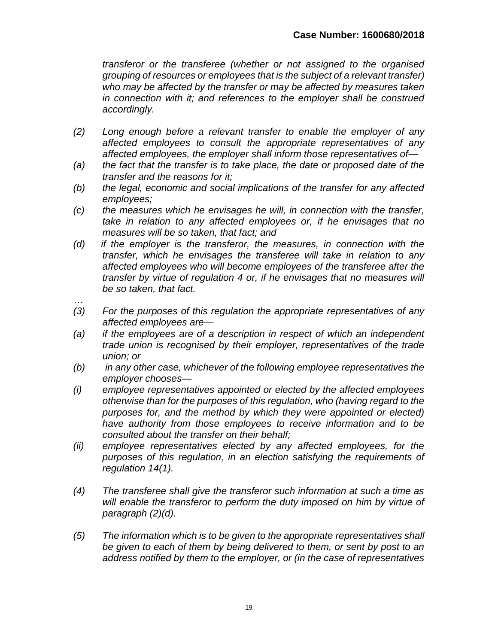*transferor or the transferee (whether or not assigned to the organised grouping of resources or employees that is the subject of a relevant transfer) who may be affected by the transfer or may be affected by measures taken in connection with it; and references to the employer shall be construed accordingly.*

- *(2) Long enough before a relevant transfer to enable the employer of any affected employees to consult the appropriate representatives of any affected employees, the employer shall inform those representatives of—*
- *(a) the fact that the transfer is to take place, the date or proposed date of the transfer and the reasons for it;*
- *(b) the legal, economic and social implications of the transfer for any affected employees;*
- *(c) the measures which he envisages he will, in connection with the transfer, take in relation to any affected employees or, if he envisages that no measures will be so taken, that fact; and*
- *(d) if the employer is the transferor, the measures, in connection with the transfer, which he envisages the transferee will take in relation to any affected employees who will become employees of the transferee after the transfer by virtue of regulation 4 or, if he envisages that no measures will be so taken, that fact.*
- *(3) For the purposes of this regulation the appropriate representatives of any affected employees are—*

*…*

- *(a) if the employees are of a description in respect of which an independent trade union is recognised by their employer, representatives of the trade union; or*
- *(b) in any other case, whichever of the following employee representatives the employer chooses—*
- *(i) employee representatives appointed or elected by the affected employees otherwise than for the purposes of this regulation, who (having regard to the purposes for, and the method by which they were appointed or elected) have authority from those employees to receive information and to be consulted about the transfer on their behalf;*
- *(ii) employee representatives elected by any affected employees, for the purposes of this regulation, in an election satisfying the requirements of regulation 14(1).*
- *(4) The transferee shall give the transferor such information at such a time as will enable the transferor to perform the duty imposed on him by virtue of paragraph (2)(d).*
- *(5) The information which is to be given to the appropriate representatives shall be given to each of them by being delivered to them, or sent by post to an address notified by them to the employer, or (in the case of representatives*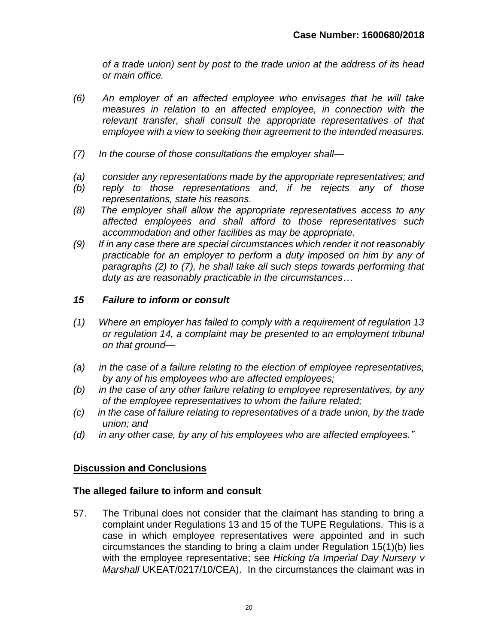*of a trade union) sent by post to the trade union at the address of its head or main office.*

- *(6) An employer of an affected employee who envisages that he will take measures in relation to an affected employee, in connection with the relevant transfer, shall consult the appropriate representatives of that employee with a view to seeking their agreement to the intended measures.*
- *(7) In the course of those consultations the employer shall—*
- *(a) consider any representations made by the appropriate representatives; and*
- *(b) reply to those representations and, if he rejects any of those representations, state his reasons.*
- *(8) The employer shall allow the appropriate representatives access to any affected employees and shall afford to those representatives such accommodation and other facilities as may be appropriate.*
- *(9) If in any case there are special circumstances which render it not reasonably practicable for an employer to perform a duty imposed on him by any of paragraphs (2) to (7), he shall take all such steps towards performing that duty as are reasonably practicable in the circumstances…*

# *15 Failure to inform or consult*

- *(1) Where an employer has failed to comply with a requirement of regulation 13 or regulation 14, a complaint may be presented to an employment tribunal on that ground—*
- *(a) in the case of a failure relating to the election of employee representatives, by any of his employees who are affected employees;*
- *(b) in the case of any other failure relating to employee representatives, by any of the employee representatives to whom the failure related;*
- *(c) in the case of failure relating to representatives of a trade union, by the trade union; and*
- *(d) in any other case, by any of his employees who are affected employees."*

# **Discussion and Conclusions**

# **The alleged failure to inform and consult**

57. The Tribunal does not consider that the claimant has standing to bring a complaint under Regulations 13 and 15 of the TUPE Regulations. This is a case in which employee representatives were appointed and in such circumstances the standing to bring a claim under Regulation 15(1)(b) lies with the employee representative; see *Hicking t/a Imperial Day Nursery v Marshall UKEAT/0217/10/CEA).* In the circumstances the claimant was in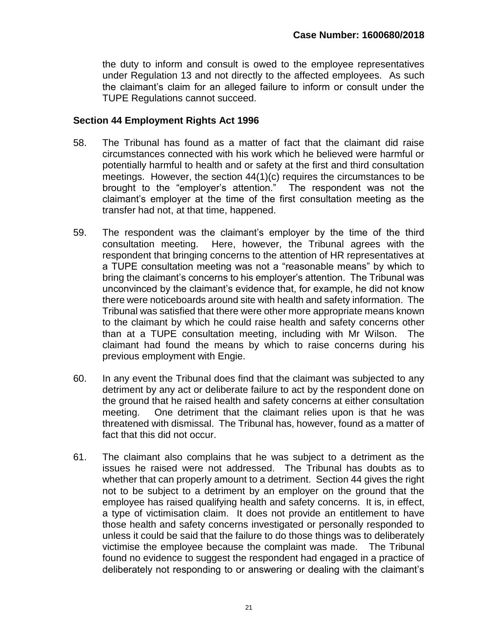the duty to inform and consult is owed to the employee representatives under Regulation 13 and not directly to the affected employees. As such the claimant's claim for an alleged failure to inform or consult under the TUPE Regulations cannot succeed.

### **Section 44 Employment Rights Act 1996**

- 58. The Tribunal has found as a matter of fact that the claimant did raise circumstances connected with his work which he believed were harmful or potentially harmful to health and or safety at the first and third consultation meetings. However, the section 44(1)(c) requires the circumstances to be brought to the "employer's attention." The respondent was not the claimant's employer at the time of the first consultation meeting as the transfer had not, at that time, happened.
- 59. The respondent was the claimant's employer by the time of the third consultation meeting. Here, however, the Tribunal agrees with the respondent that bringing concerns to the attention of HR representatives at a TUPE consultation meeting was not a "reasonable means" by which to bring the claimant's concerns to his employer's attention. The Tribunal was unconvinced by the claimant's evidence that, for example, he did not know there were noticeboards around site with health and safety information. The Tribunal was satisfied that there were other more appropriate means known to the claimant by which he could raise health and safety concerns other than at a TUPE consultation meeting, including with Mr Wilson. The claimant had found the means by which to raise concerns during his previous employment with Engie.
- 60. In any event the Tribunal does find that the claimant was subjected to any detriment by any act or deliberate failure to act by the respondent done on the ground that he raised health and safety concerns at either consultation meeting. One detriment that the claimant relies upon is that he was threatened with dismissal. The Tribunal has, however, found as a matter of fact that this did not occur.
- 61. The claimant also complains that he was subject to a detriment as the issues he raised were not addressed. The Tribunal has doubts as to whether that can properly amount to a detriment. Section 44 gives the right not to be subject to a detriment by an employer on the ground that the employee has raised qualifying health and safety concerns. It is, in effect, a type of victimisation claim. It does not provide an entitlement to have those health and safety concerns investigated or personally responded to unless it could be said that the failure to do those things was to deliberately victimise the employee because the complaint was made. The Tribunal found no evidence to suggest the respondent had engaged in a practice of deliberately not responding to or answering or dealing with the claimant's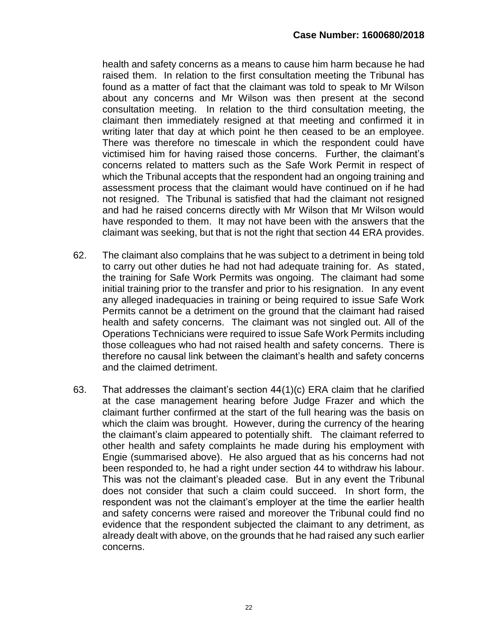health and safety concerns as a means to cause him harm because he had raised them. In relation to the first consultation meeting the Tribunal has found as a matter of fact that the claimant was told to speak to Mr Wilson about any concerns and Mr Wilson was then present at the second consultation meeting. In relation to the third consultation meeting, the claimant then immediately resigned at that meeting and confirmed it in writing later that day at which point he then ceased to be an employee. There was therefore no timescale in which the respondent could have victimised him for having raised those concerns. Further, the claimant's concerns related to matters such as the Safe Work Permit in respect of which the Tribunal accepts that the respondent had an ongoing training and assessment process that the claimant would have continued on if he had not resigned. The Tribunal is satisfied that had the claimant not resigned and had he raised concerns directly with Mr Wilson that Mr Wilson would have responded to them. It may not have been with the answers that the claimant was seeking, but that is not the right that section 44 ERA provides.

- 62. The claimant also complains that he was subject to a detriment in being told to carry out other duties he had not had adequate training for. As stated, the training for Safe Work Permits was ongoing. The claimant had some initial training prior to the transfer and prior to his resignation. In any event any alleged inadequacies in training or being required to issue Safe Work Permits cannot be a detriment on the ground that the claimant had raised health and safety concerns. The claimant was not singled out. All of the Operations Technicians were required to issue Safe Work Permits including those colleagues who had not raised health and safety concerns. There is therefore no causal link between the claimant's health and safety concerns and the claimed detriment.
- 63. That addresses the claimant's section 44(1)(c) ERA claim that he clarified at the case management hearing before Judge Frazer and which the claimant further confirmed at the start of the full hearing was the basis on which the claim was brought. However, during the currency of the hearing the claimant's claim appeared to potentially shift. The claimant referred to other health and safety complaints he made during his employment with Engie (summarised above). He also argued that as his concerns had not been responded to, he had a right under section 44 to withdraw his labour. This was not the claimant's pleaded case. But in any event the Tribunal does not consider that such a claim could succeed. In short form, the respondent was not the claimant's employer at the time the earlier health and safety concerns were raised and moreover the Tribunal could find no evidence that the respondent subjected the claimant to any detriment, as already dealt with above, on the grounds that he had raised any such earlier concerns.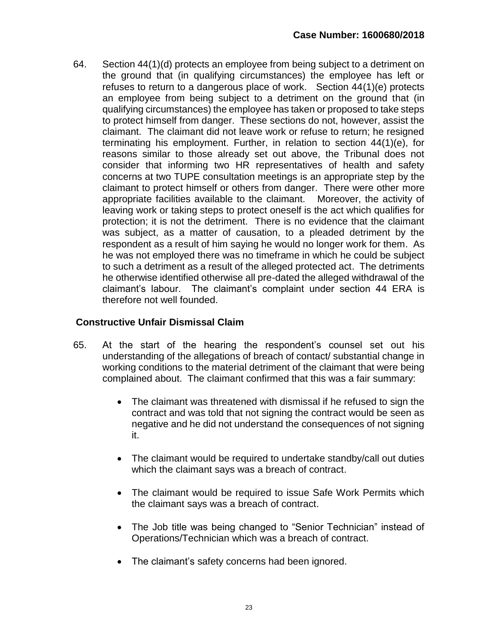64. Section 44(1)(d) protects an employee from being subject to a detriment on the ground that (in qualifying circumstances) the employee has left or refuses to return to a dangerous place of work. Section 44(1)(e) protects an employee from being subject to a detriment on the ground that (in qualifying circumstances) the employee has taken or proposed to take steps to protect himself from danger. These sections do not, however, assist the claimant. The claimant did not leave work or refuse to return; he resigned terminating his employment. Further, in relation to section 44(1)(e), for reasons similar to those already set out above, the Tribunal does not consider that informing two HR representatives of health and safety concerns at two TUPE consultation meetings is an appropriate step by the claimant to protect himself or others from danger. There were other more appropriate facilities available to the claimant. Moreover, the activity of leaving work or taking steps to protect oneself is the act which qualifies for protection; it is not the detriment. There is no evidence that the claimant was subject, as a matter of causation, to a pleaded detriment by the respondent as a result of him saying he would no longer work for them. As he was not employed there was no timeframe in which he could be subject to such a detriment as a result of the alleged protected act. The detriments he otherwise identified otherwise all pre-dated the alleged withdrawal of the claimant's labour. The claimant's complaint under section 44 ERA is therefore not well founded.

# **Constructive Unfair Dismissal Claim**

- 65. At the start of the hearing the respondent's counsel set out his understanding of the allegations of breach of contact/ substantial change in working conditions to the material detriment of the claimant that were being complained about. The claimant confirmed that this was a fair summary:
	- The claimant was threatened with dismissal if he refused to sign the contract and was told that not signing the contract would be seen as negative and he did not understand the consequences of not signing it.
	- The claimant would be required to undertake standby/call out duties which the claimant says was a breach of contract.
	- The claimant would be required to issue Safe Work Permits which the claimant says was a breach of contract.
	- The Job title was being changed to "Senior Technician" instead of Operations/Technician which was a breach of contract.
	- The claimant's safety concerns had been ignored.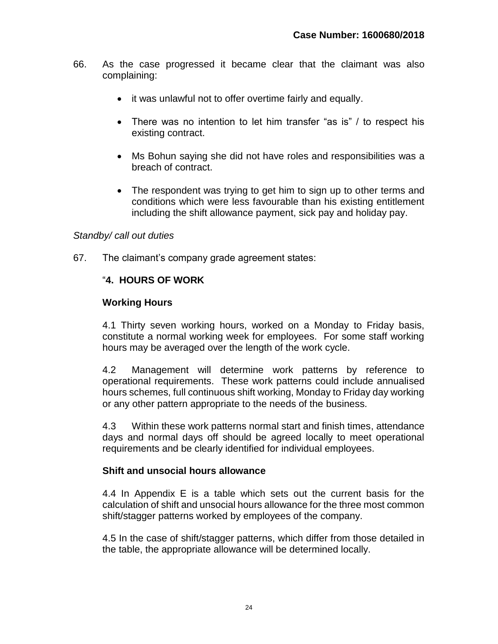- 66. As the case progressed it became clear that the claimant was also complaining:
	- it was unlawful not to offer overtime fairly and equally.
	- There was no intention to let him transfer "as is" / to respect his existing contract.
	- Ms Bohun saying she did not have roles and responsibilities was a breach of contract.
	- The respondent was trying to get him to sign up to other terms and conditions which were less favourable than his existing entitlement including the shift allowance payment, sick pay and holiday pay.

## *Standby/ call out duties*

67. The claimant's company grade agreement states:

# "**4. HOURS OF WORK**

## **Working Hours**

4.1 Thirty seven working hours, worked on a Monday to Friday basis, constitute a normal working week for employees. For some staff working hours may be averaged over the length of the work cycle.

4.2 Management will determine work patterns by reference to operational requirements. These work patterns could include annualised hours schemes, full continuous shift working, Monday to Friday day working or any other pattern appropriate to the needs of the business.

4.3 Within these work patterns normal start and finish times, attendance days and normal days off should be agreed locally to meet operational requirements and be clearly identified for individual employees.

### **Shift and unsocial hours allowance**

4.4 In Appendix E is a table which sets out the current basis for the calculation of shift and unsocial hours allowance for the three most common shift/stagger patterns worked by employees of the company.

4.5 In the case of shift/stagger patterns, which differ from those detailed in the table, the appropriate allowance will be determined locally.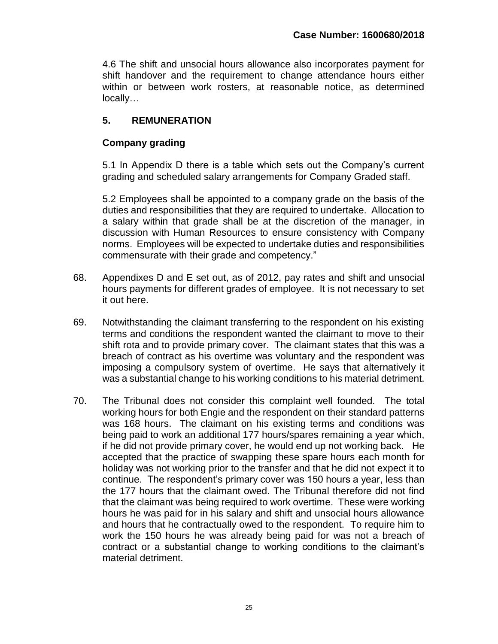4.6 The shift and unsocial hours allowance also incorporates payment for shift handover and the requirement to change attendance hours either within or between work rosters, at reasonable notice, as determined locally…

# **5. REMUNERATION**

## **Company grading**

5.1 In Appendix D there is a table which sets out the Company's current grading and scheduled salary arrangements for Company Graded staff.

5.2 Employees shall be appointed to a company grade on the basis of the duties and responsibilities that they are required to undertake. Allocation to a salary within that grade shall be at the discretion of the manager, in discussion with Human Resources to ensure consistency with Company norms. Employees will be expected to undertake duties and responsibilities commensurate with their grade and competency."

- 68. Appendixes D and E set out, as of 2012, pay rates and shift and unsocial hours payments for different grades of employee. It is not necessary to set it out here.
- 69. Notwithstanding the claimant transferring to the respondent on his existing terms and conditions the respondent wanted the claimant to move to their shift rota and to provide primary cover. The claimant states that this was a breach of contract as his overtime was voluntary and the respondent was imposing a compulsory system of overtime. He says that alternatively it was a substantial change to his working conditions to his material detriment.
- 70. The Tribunal does not consider this complaint well founded. The total working hours for both Engie and the respondent on their standard patterns was 168 hours. The claimant on his existing terms and conditions was being paid to work an additional 177 hours/spares remaining a year which, if he did not provide primary cover, he would end up not working back. He accepted that the practice of swapping these spare hours each month for holiday was not working prior to the transfer and that he did not expect it to continue. The respondent's primary cover was 150 hours a year, less than the 177 hours that the claimant owed. The Tribunal therefore did not find that the claimant was being required to work overtime. These were working hours he was paid for in his salary and shift and unsocial hours allowance and hours that he contractually owed to the respondent. To require him to work the 150 hours he was already being paid for was not a breach of contract or a substantial change to working conditions to the claimant's material detriment.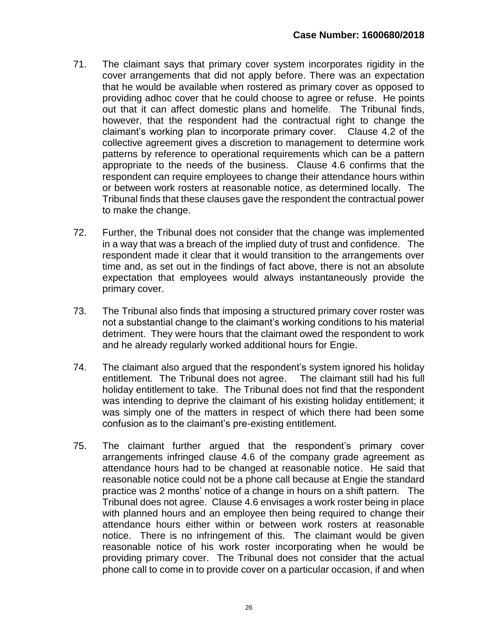- 71. The claimant says that primary cover system incorporates rigidity in the cover arrangements that did not apply before. There was an expectation that he would be available when rostered as primary cover as opposed to providing adhoc cover that he could choose to agree or refuse. He points out that it can affect domestic plans and homelife. The Tribunal finds, however, that the respondent had the contractual right to change the claimant's working plan to incorporate primary cover. Clause 4.2 of the collective agreement gives a discretion to management to determine work patterns by reference to operational requirements which can be a pattern appropriate to the needs of the business. Clause 4.6 confirms that the respondent can require employees to change their attendance hours within or between work rosters at reasonable notice, as determined locally. The Tribunal finds that these clauses gave the respondent the contractual power to make the change.
- 72. Further, the Tribunal does not consider that the change was implemented in a way that was a breach of the implied duty of trust and confidence. The respondent made it clear that it would transition to the arrangements over time and, as set out in the findings of fact above, there is not an absolute expectation that employees would always instantaneously provide the primary cover.
- 73. The Tribunal also finds that imposing a structured primary cover roster was not a substantial change to the claimant's working conditions to his material detriment. They were hours that the claimant owed the respondent to work and he already regularly worked additional hours for Engie.
- 74. The claimant also argued that the respondent's system ignored his holiday entitlement. The Tribunal does not agree. The claimant still had his full holiday entitlement to take. The Tribunal does not find that the respondent was intending to deprive the claimant of his existing holiday entitlement; it was simply one of the matters in respect of which there had been some confusion as to the claimant's pre-existing entitlement.
- 75. The claimant further argued that the respondent's primary cover arrangements infringed clause 4.6 of the company grade agreement as attendance hours had to be changed at reasonable notice. He said that reasonable notice could not be a phone call because at Engie the standard practice was 2 months' notice of a change in hours on a shift pattern. The Tribunal does not agree. Clause 4.6 envisages a work roster being in place with planned hours and an employee then being required to change their attendance hours either within or between work rosters at reasonable notice. There is no infringement of this. The claimant would be given reasonable notice of his work roster incorporating when he would be providing primary cover. The Tribunal does not consider that the actual phone call to come in to provide cover on a particular occasion, if and when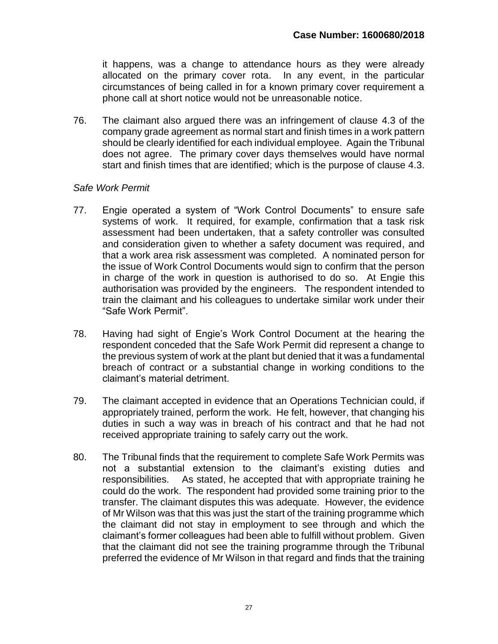it happens, was a change to attendance hours as they were already allocated on the primary cover rota. In any event, in the particular circumstances of being called in for a known primary cover requirement a phone call at short notice would not be unreasonable notice.

76. The claimant also argued there was an infringement of clause 4.3 of the company grade agreement as normal start and finish times in a work pattern should be clearly identified for each individual employee. Again the Tribunal does not agree. The primary cover days themselves would have normal start and finish times that are identified; which is the purpose of clause 4.3.

## *Safe Work Permit*

- 77. Engie operated a system of "Work Control Documents" to ensure safe systems of work. It required, for example, confirmation that a task risk assessment had been undertaken, that a safety controller was consulted and consideration given to whether a safety document was required, and that a work area risk assessment was completed. A nominated person for the issue of Work Control Documents would sign to confirm that the person in charge of the work in question is authorised to do so. At Engie this authorisation was provided by the engineers. The respondent intended to train the claimant and his colleagues to undertake similar work under their "Safe Work Permit".
- 78. Having had sight of Engie's Work Control Document at the hearing the respondent conceded that the Safe Work Permit did represent a change to the previous system of work at the plant but denied that it was a fundamental breach of contract or a substantial change in working conditions to the claimant's material detriment.
- 79. The claimant accepted in evidence that an Operations Technician could, if appropriately trained, perform the work. He felt, however, that changing his duties in such a way was in breach of his contract and that he had not received appropriate training to safely carry out the work.
- 80. The Tribunal finds that the requirement to complete Safe Work Permits was not a substantial extension to the claimant's existing duties and responsibilities. As stated, he accepted that with appropriate training he could do the work. The respondent had provided some training prior to the transfer. The claimant disputes this was adequate. However, the evidence of Mr Wilson was that this was just the start of the training programme which the claimant did not stay in employment to see through and which the claimant's former colleagues had been able to fulfill without problem. Given that the claimant did not see the training programme through the Tribunal preferred the evidence of Mr Wilson in that regard and finds that the training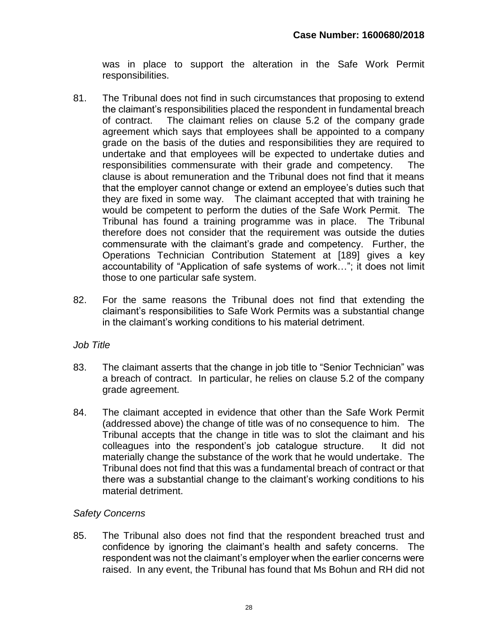was in place to support the alteration in the Safe Work Permit responsibilities.

- 81. The Tribunal does not find in such circumstances that proposing to extend the claimant's responsibilities placed the respondent in fundamental breach of contract. The claimant relies on clause 5.2 of the company grade agreement which says that employees shall be appointed to a company grade on the basis of the duties and responsibilities they are required to undertake and that employees will be expected to undertake duties and responsibilities commensurate with their grade and competency. The clause is about remuneration and the Tribunal does not find that it means that the employer cannot change or extend an employee's duties such that they are fixed in some way. The claimant accepted that with training he would be competent to perform the duties of the Safe Work Permit. The Tribunal has found a training programme was in place. The Tribunal therefore does not consider that the requirement was outside the duties commensurate with the claimant's grade and competency. Further, the Operations Technician Contribution Statement at [189] gives a key accountability of "Application of safe systems of work…"; it does not limit those to one particular safe system.
- 82. For the same reasons the Tribunal does not find that extending the claimant's responsibilities to Safe Work Permits was a substantial change in the claimant's working conditions to his material detriment.

# *Job Title*

- 83. The claimant asserts that the change in job title to "Senior Technician" was a breach of contract. In particular, he relies on clause 5.2 of the company grade agreement.
- 84. The claimant accepted in evidence that other than the Safe Work Permit (addressed above) the change of title was of no consequence to him. The Tribunal accepts that the change in title was to slot the claimant and his colleagues into the respondent's job catalogue structure. It did not materially change the substance of the work that he would undertake. The Tribunal does not find that this was a fundamental breach of contract or that there was a substantial change to the claimant's working conditions to his material detriment.

# *Safety Concerns*

85. The Tribunal also does not find that the respondent breached trust and confidence by ignoring the claimant's health and safety concerns. The respondent was not the claimant's employer when the earlier concerns were raised. In any event, the Tribunal has found that Ms Bohun and RH did not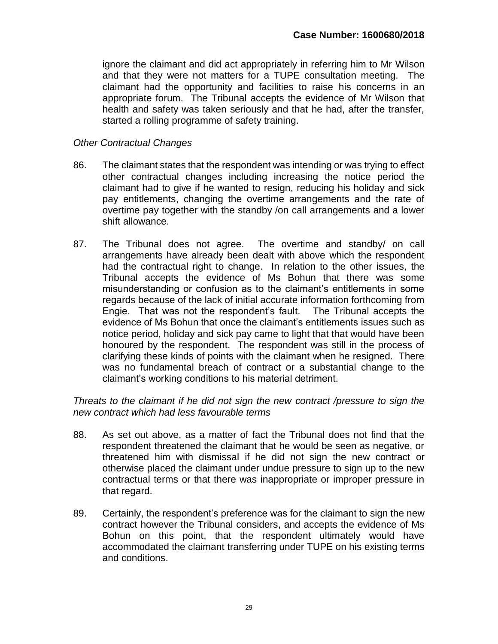ignore the claimant and did act appropriately in referring him to Mr Wilson and that they were not matters for a TUPE consultation meeting. The claimant had the opportunity and facilities to raise his concerns in an appropriate forum. The Tribunal accepts the evidence of Mr Wilson that health and safety was taken seriously and that he had, after the transfer, started a rolling programme of safety training.

### *Other Contractual Changes*

- 86. The claimant states that the respondent was intending or was trying to effect other contractual changes including increasing the notice period the claimant had to give if he wanted to resign, reducing his holiday and sick pay entitlements, changing the overtime arrangements and the rate of overtime pay together with the standby /on call arrangements and a lower shift allowance.
- 87. The Tribunal does not agree. The overtime and standby/ on call arrangements have already been dealt with above which the respondent had the contractual right to change. In relation to the other issues, the Tribunal accepts the evidence of Ms Bohun that there was some misunderstanding or confusion as to the claimant's entitlements in some regards because of the lack of initial accurate information forthcoming from Engie. That was not the respondent's fault. The Tribunal accepts the evidence of Ms Bohun that once the claimant's entitlements issues such as notice period, holiday and sick pay came to light that that would have been honoured by the respondent. The respondent was still in the process of clarifying these kinds of points with the claimant when he resigned. There was no fundamental breach of contract or a substantial change to the claimant's working conditions to his material detriment.

*Threats to the claimant if he did not sign the new contract /pressure to sign the new contract which had less favourable terms* 

- 88. As set out above, as a matter of fact the Tribunal does not find that the respondent threatened the claimant that he would be seen as negative, or threatened him with dismissal if he did not sign the new contract or otherwise placed the claimant under undue pressure to sign up to the new contractual terms or that there was inappropriate or improper pressure in that regard.
- 89. Certainly, the respondent's preference was for the claimant to sign the new contract however the Tribunal considers, and accepts the evidence of Ms Bohun on this point, that the respondent ultimately would have accommodated the claimant transferring under TUPE on his existing terms and conditions.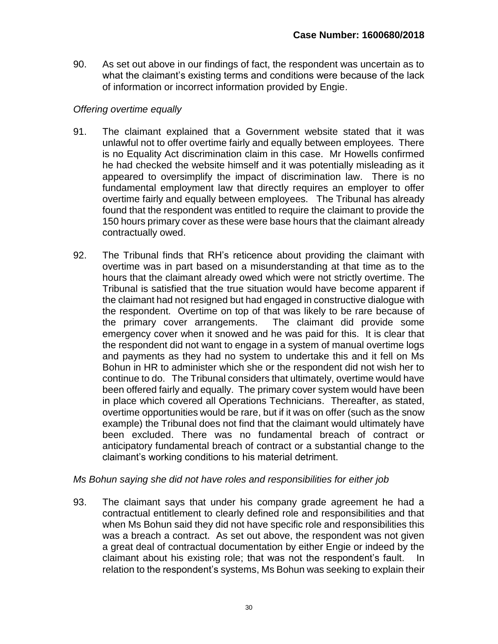90. As set out above in our findings of fact, the respondent was uncertain as to what the claimant's existing terms and conditions were because of the lack of information or incorrect information provided by Engie.

## *Offering overtime equally*

- 91. The claimant explained that a Government website stated that it was unlawful not to offer overtime fairly and equally between employees. There is no Equality Act discrimination claim in this case. Mr Howells confirmed he had checked the website himself and it was potentially misleading as it appeared to oversimplify the impact of discrimination law. There is no fundamental employment law that directly requires an employer to offer overtime fairly and equally between employees. The Tribunal has already found that the respondent was entitled to require the claimant to provide the 150 hours primary cover as these were base hours that the claimant already contractually owed.
- 92. The Tribunal finds that RH's reticence about providing the claimant with overtime was in part based on a misunderstanding at that time as to the hours that the claimant already owed which were not strictly overtime. The Tribunal is satisfied that the true situation would have become apparent if the claimant had not resigned but had engaged in constructive dialogue with the respondent. Overtime on top of that was likely to be rare because of the primary cover arrangements. The claimant did provide some emergency cover when it snowed and he was paid for this. It is clear that the respondent did not want to engage in a system of manual overtime logs and payments as they had no system to undertake this and it fell on Ms Bohun in HR to administer which she or the respondent did not wish her to continue to do. The Tribunal considers that ultimately, overtime would have been offered fairly and equally. The primary cover system would have been in place which covered all Operations Technicians. Thereafter, as stated, overtime opportunities would be rare, but if it was on offer (such as the snow example) the Tribunal does not find that the claimant would ultimately have been excluded. There was no fundamental breach of contract or anticipatory fundamental breach of contract or a substantial change to the claimant's working conditions to his material detriment.

### *Ms Bohun saying she did not have roles and responsibilities for either job*

93. The claimant says that under his company grade agreement he had a contractual entitlement to clearly defined role and responsibilities and that when Ms Bohun said they did not have specific role and responsibilities this was a breach a contract. As set out above, the respondent was not given a great deal of contractual documentation by either Engie or indeed by the claimant about his existing role; that was not the respondent's fault. In relation to the respondent's systems, Ms Bohun was seeking to explain their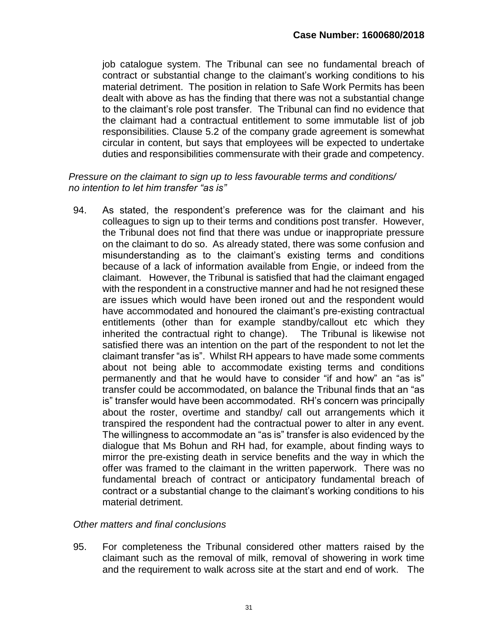job catalogue system. The Tribunal can see no fundamental breach of contract or substantial change to the claimant's working conditions to his material detriment. The position in relation to Safe Work Permits has been dealt with above as has the finding that there was not a substantial change to the claimant's role post transfer. The Tribunal can find no evidence that the claimant had a contractual entitlement to some immutable list of job responsibilities. Clause 5.2 of the company grade agreement is somewhat circular in content, but says that employees will be expected to undertake duties and responsibilities commensurate with their grade and competency.

#### *Pressure on the claimant to sign up to less favourable terms and conditions/ no intention to let him transfer "as is"*

94. As stated, the respondent's preference was for the claimant and his colleagues to sign up to their terms and conditions post transfer. However, the Tribunal does not find that there was undue or inappropriate pressure on the claimant to do so. As already stated, there was some confusion and misunderstanding as to the claimant's existing terms and conditions because of a lack of information available from Engie, or indeed from the claimant. However, the Tribunal is satisfied that had the claimant engaged with the respondent in a constructive manner and had he not resigned these are issues which would have been ironed out and the respondent would have accommodated and honoured the claimant's pre-existing contractual entitlements (other than for example standby/callout etc which they inherited the contractual right to change). The Tribunal is likewise not satisfied there was an intention on the part of the respondent to not let the claimant transfer "as is". Whilst RH appears to have made some comments about not being able to accommodate existing terms and conditions permanently and that he would have to consider "if and how" an "as is" transfer could be accommodated, on balance the Tribunal finds that an "as is" transfer would have been accommodated. RH's concern was principally about the roster, overtime and standby/ call out arrangements which it transpired the respondent had the contractual power to alter in any event. The willingness to accommodate an "as is" transfer is also evidenced by the dialogue that Ms Bohun and RH had, for example, about finding ways to mirror the pre-existing death in service benefits and the way in which the offer was framed to the claimant in the written paperwork. There was no fundamental breach of contract or anticipatory fundamental breach of contract or a substantial change to the claimant's working conditions to his material detriment.

# *Other matters and final conclusions*

95. For completeness the Tribunal considered other matters raised by the claimant such as the removal of milk, removal of showering in work time and the requirement to walk across site at the start and end of work. The